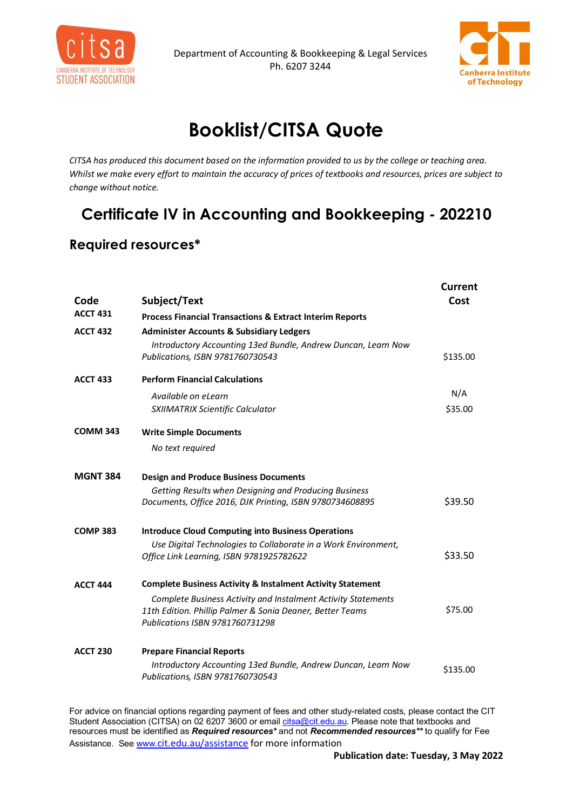



## **Booklist/CITSA Quote**

*CITSA has produced this document based on the information provided to us by the college or teaching area. Whilst we make every effort to maintain the accuracy of prices of textbooks and resources, prices are subject to change without notice.*

## **Certificate IV in Accounting and Bookkeeping - 202210**

## **Required resources\***

|                 |                                                                                                   | <b>Current</b> |
|-----------------|---------------------------------------------------------------------------------------------------|----------------|
| Code            | Subject/Text                                                                                      | Cost           |
| <b>ACCT 431</b> | <b>Process Financial Transactions &amp; Extract Interim Reports</b>                               |                |
| <b>ACCT 432</b> | <b>Administer Accounts &amp; Subsidiary Ledgers</b>                                               |                |
|                 | Introductory Accounting 13ed Bundle, Andrew Duncan, Learn Now<br>Publications, ISBN 9781760730543 | \$135.00       |
| <b>ACCT 433</b> | <b>Perform Financial Calculations</b>                                                             |                |
|                 | Available on eLearn                                                                               | N/A            |
|                 | SXIIMATRIX Scientific Calculator                                                                  | \$35.00        |
| <b>COMM 343</b> | <b>Write Simple Documents</b>                                                                     |                |
|                 | No text required                                                                                  |                |
| <b>MGNT 384</b> | <b>Design and Produce Business Documents</b>                                                      |                |
|                 | Getting Results when Designing and Producing Business                                             |                |
|                 | Documents, Office 2016, DJK Printing, ISBN 9780734608895                                          | \$39.50        |
| <b>COMP 383</b> | <b>Introduce Cloud Computing into Business Operations</b>                                         |                |
|                 | Use Digital Technologies to Collaborate in a Work Environment,                                    |                |
|                 | Office Link Learning, ISBN 9781925782622                                                          | \$33.50        |
| <b>ACCT 444</b> | <b>Complete Business Activity &amp; Instalment Activity Statement</b>                             |                |
|                 | Complete Business Activity and Instalment Activity Statements                                     |                |
|                 | 11th Edition. Phillip Palmer & Sonia Deaner, Better Teams                                         | \$75.00        |
|                 | Publications ISBN 9781760731298                                                                   |                |
| <b>ACCT 230</b> | <b>Prepare Financial Reports</b>                                                                  |                |
|                 | Introductory Accounting 13ed Bundle, Andrew Duncan, Learn Now                                     | \$135.00       |
|                 | Publications, ISBN 9781760730543                                                                  |                |

For advice on financial options regarding payment of fees and other study-related costs, please contact the CIT Student Association (CITSA) on 02 6207 3600 or email <u>citsa@cit.edu.au</u>. Please note that textbooks and resources must be identified as *Required resources\** and not *Recommended resources\*\** to qualify for Fee Assistance. Se[e www.](http://www.cit.edu.au/assistance)[cit.edu.au/assistance](http://www.cit.edu.au/assistance) for more information